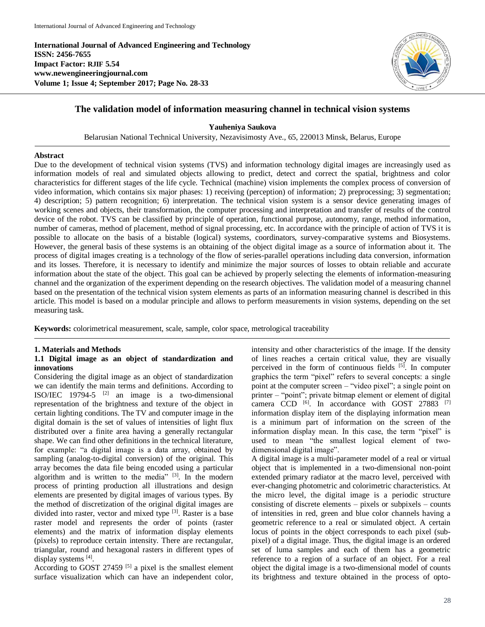**International Journal of Advanced Engineering and Technology ISSN: 2456-7655 Impact Factor: RJIF 5.54 www.newengineeringjournal.com Volume 1; Issue 4; September 2017; Page No. 28-33**



# **The validation model of information measuring channel in technical vision systems**

**Yauheniya Saukova**

Belarusian National Technical University, Nezavisimosty Ave., 65, 220013 Minsk, Belarus, Europe

## **Abstract**

Due to the development of technical vision systems (TVS) and information technology digital images are increasingly used as information models of real and simulated objects allowing to predict, detect and correct the spatial, brightness and color characteristics for different stages of the life cycle. Technical (machine) vision implements the complex process of conversion of video information, which contains six major phases: 1) receiving (perception) of information; 2) preprocessing; 3) segmentation; 4) description; 5) pattern recognition; 6) interpretation. The technical vision system is a sensor device generating images of working scenes and objects, their transformation, the computer processing and interpretation and transfer of results of the control device of the robot. TVS can be classified by principle of operation, functional purpose, autonomy, range, method information, number of cameras, method of placement, method of signal processing, etc. In accordance with the principle of action of TVS it is possible to allocate on the basis of a bistable (logical) systems, coordinators, survey-comparative systems and Biosystems. However, the general basis of these systems is an obtaining of the object digital image as a source of information about it. The process of digital images creating is a technology of the flow of series-parallel operations including data conversion, information and its losses. Therefore, it is necessary to identify and minimize the major sources of losses to obtain reliable and accurate information about the state of the object. This goal can be achieved by properly selecting the elements of information-measuring channel and the organization of the experiment depending on the research objectives. The validation model of a measuring channel based on the presentation of the technical vision system elements as parts of an information measuring channel is described in this article. This model is based on a modular principle and allows to perform measurements in vision systems, depending on the set measuring task.

**Keywords:** colorimetrical measurement, scale, sample, color space, metrological traceability

## **1. Materials and Methods**

## **1.1 Digital image as an object of standardization and innovations**

Considering the digital image as an object of standardization we can identify the main terms and definitions. According to ISO/IEC 19794-5  $[2]$  an image is a two-dimensional representation of the brightness and texture of the object in certain lighting conditions. The TV and computer image in the digital domain is the set of values of intensities of light flux distributed over a finite area having a generally rectangular shape. We can find other definitions in the technical literature, for example: "a digital image is a data array, obtained by sampling (analog-to-digital conversion) of the original. This array becomes the data file being encoded using a particular algorithm and is written to the media" [3]. In the modern process of printing production all illustrations and design elements are presented by digital images of various types. By the method of discretization of the original digital images are divided into raster, vector and mixed type [3]. Raster is a base raster model and represents the order of points (raster elements) and the matrix of information display elements (pixels) to reproduce certain intensity. There are rectangular, triangular, round and hexagonal rasters in different types of display systems [4].

According to GOST 27459<sup>[5]</sup> a pixel is the smallest element surface visualization which can have an independent color,

intensity and other characteristics of the image. If the density of lines reaches a certain critical value, they are visually perceived in the form of continuous fields [5]. In computer graphics the term "pixel" refers to several concepts: a single point at the computer screen – "video pixel"; a single point on printer – "point"; private bitmap element or element of digital camera CCD<sup>[6]</sup>. In accordance with GOST 27883<sup>[7]</sup> information display item of the displaying information mean is a minimum part of information on the screen of the information display mean. In this case, the term "pixel" is used to mean "the smallest logical element of twodimensional digital image".

A digital image is a multi-parameter model of a real or virtual object that is implemented in a two-dimensional non-point extended primary radiator at the macro level, perceived with ever-changing photometric and colorimetric characteristics. At the micro level, the digital image is a periodic structure consisting of discrete elements – pixels or subpixels – counts of intensities in red, green and blue color channels having a geometric reference to a real or simulated object. A certain locus of points in the object corresponds to each pixel (subpixel) of a digital image. Thus, the digital image is an ordered set of luma samples and each of them has a geometric reference to a region of a surface of an object. For a real object the digital image is a two-dimensional model of counts its brightness and texture obtained in the process of opto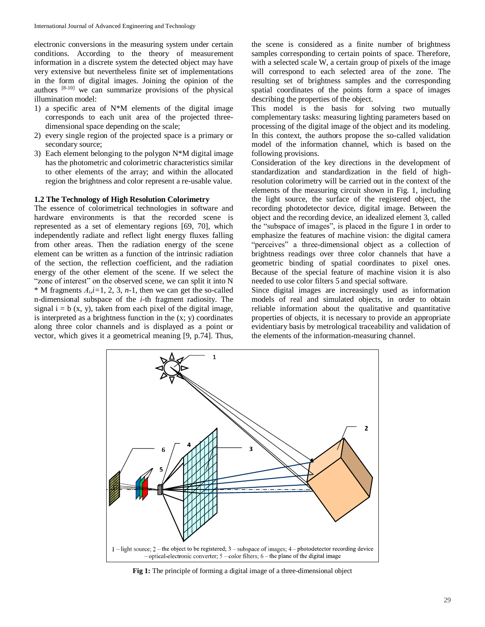electronic conversions in the measuring system under certain conditions. According to the theory of measurement information in a discrete system the detected object may have very extensive but nevertheless finite set of implementations in the form of digital images. Joining the opinion of the authors [8-10] we can summarize provisions of the physical illumination model:

- 1) a specific area of N\*M elements of the digital image corresponds to each unit area of the projected threedimensional space depending on the scale;
- 2) every single region of the projected space is a primary or secondary source;
- 3) Each element belonging to the polygon  $N^*M$  digital image has the photometric and colorimetric characteristics similar to other elements of the array; and within the allocated region the brightness and color represent a re-usable value.

## **1.2 The Technology of High Resolution Colorimetry**

The essence of colorimetrical technologies in software and hardware environments is that the recorded scene is represented as a set of elementary regions [69, 70], which independently radiate and reflect light energy fluxes falling from other areas. Then the radiation energy of the scene element can be written as a function of the intrinsic radiation of the section, the reflection coefficient, and the radiation energy of the other element of the scene. If we select the "zone of interest" on the observed scene, we can split it into N  $*$  M fragments  $A_i$ , *i*=1, 2, 3, *n*-1, then we can get the so-called n-dimensional subspace of the *i*-th fragment radiosity. The signal  $i = b$  (x, y), taken from each pixel of the digital image, is interpreted as a brightness function in the  $(x; y)$  coordinates along three color channels and is displayed as a point or vector, which gives it a geometrical meaning [9, p.74]. Thus, the scene is considered as a finite number of brightness samples corresponding to certain points of space. Therefore, with a selected scale W, a certain group of pixels of the image will correspond to each selected area of the zone. The resulting set of brightness samples and the corresponding spatial coordinates of the points form a space of images describing the properties of the object.

This model is the basis for solving two mutually complementary tasks: measuring lighting parameters based on processing of the digital image of the object and its modeling. In this context, the authors propose the so-called validation model of the information channel, which is based on the following provisions.

Consideration of the key directions in the development of standardization and standardization in the field of highresolution colorimetry will be carried out in the context of the elements of the measuring circuit shown in Fig. 1, including the light source, the surface of the registered object, the recording photodetector device, digital image. Between the object and the recording device, an idealized element 3, called the "subspace of images", is placed in the figure 1 in order to emphasize the features of machine vision: the digital camera "perceives" a three-dimensional object as a collection of brightness readings over three color channels that have a geometric binding of spatial coordinates to pixel ones. Because of the special feature of machine vision it is also needed to use color filters 5 and special software.

Since digital images are increasingly used as information models of real and simulated objects, in order to obtain reliable information about the qualitative and quantitative properties of objects, it is necessary to provide an appropriate evidentiary basis by metrological traceability and validation of the elements of the information-measuring channel.



**Fig 1:** The principle of forming a digital image of a three-dimensional object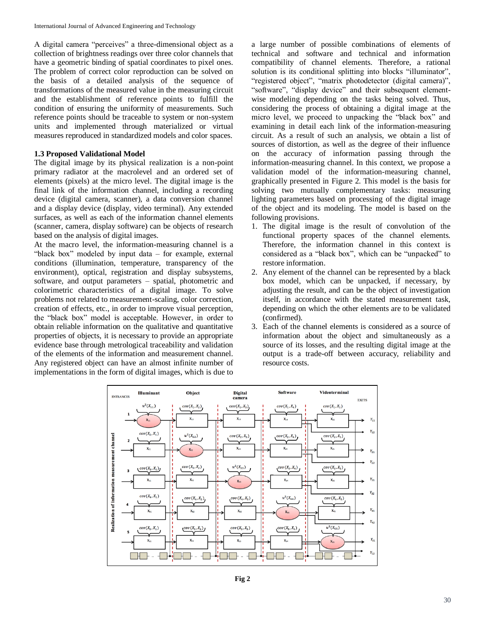A digital camera "perceives" a three-dimensional object as a collection of brightness readings over three color channels that have a geometric binding of spatial coordinates to pixel ones. The problem of correct color reproduction can be solved on the basis of a detailed analysis of the sequence of transformations of the measured value in the measuring circuit and the establishment of reference points to fulfill the condition of ensuring the uniformity of measurements. Such reference points should be traceable to system or non-system units and implemented through materialized or virtual measures reproduced in standardized models and color spaces.

## **1.3 Proposed Validational Model**

The digital image by its physical realization is a non-point primary radiator at the macrolevel and an ordered set of elements (pixels) at the micro level. The digital image is the final link of the information channel, including a recording device (digital camera, scanner), a data conversion channel and a display device (display, video terminal). Any extended surfaces, as well as each of the information channel elements (scanner, camera, display software) can be objects of research based on the analysis of digital images.

At the macro level, the information-measuring channel is a "black box" modeled by input data – for example, external conditions (illumination, temperature, transparency of the environment), optical, registration and display subsystems, software, and output parameters – spatial, photometric and colorimetric characteristics of a digital image. To solve problems not related to measurement-scaling, color correction, creation of effects, etc., in order to improve visual perception, the "black box" model is acceptable. However, in order to obtain reliable information on the qualitative and quantitative properties of objects, it is necessary to provide an appropriate evidence base through metrological traceability and validation of the elements of the information and measurement channel. Any registered object can have an almost infinite number of implementations in the form of digital images, which is due to

a large number of possible combinations of elements of technical and software and technical and information compatibility of channel elements. Therefore, a rational solution is its conditional splitting into blocks "illuminator", "registered object", "matrix photodetector (digital camera)", "software", "display device" and their subsequent elementwise modeling depending on the tasks being solved. Thus, considering the process of obtaining a digital image at the micro level, we proceed to unpacking the "black box" and examining in detail each link of the information-measuring circuit. As a result of such an analysis, we obtain a list of sources of distortion, as well as the degree of their influence on the accuracy of information passing through the information-measuring channel. In this context, we propose a validation model of the information-measuring channel, graphically presented in Figure 2. This model is the basis for solving two mutually complementary tasks: measuring lighting parameters based on processing of the digital image of the object and its modeling. The model is based on the following provisions.

- 1. The digital image is the result of convolution of the functional property spaces of the channel elements. Therefore, the information channel in this context is considered as a "black box", which can be "unpacked" to restore information.
- 2. Any element of the channel can be represented by a black box model, which can be unpacked, if necessary, by adjusting the result, and can be the object of investigation itself, in accordance with the stated measurement task, depending on which the other elements are to be validated (confirmed).
- 3. Each of the channel elements is considered as a source of information about the object and simultaneously as a source of its losses, and the resulting digital image at the output is a trade-off between accuracy, reliability and resource costs.

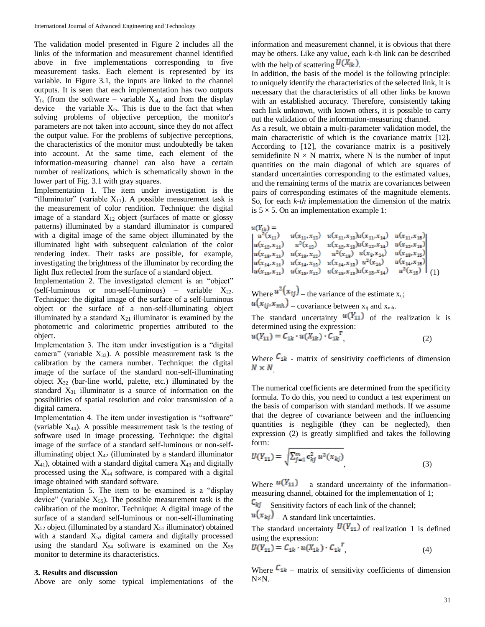The validation model presented in Figure 2 includes all the links of the information and measurement channel identified above in five implementations corresponding to five measurement tasks. Each element is represented by its variable. In Figure 3.1, the inputs are linked to the channel outputs. It is seen that each implementation has two outputs  $Y_{lk}$  (from the software – variable  $X_{i4}$ , and from the display device – the variable  $X_{i5}$ . This is due to the fact that when solving problems of objective perception, the monitor's parameters are not taken into account, since they do not affect the output value. For the problems of subjective perceptions, the characteristics of the monitor must undoubtedly be taken into account. At the same time, each element of the information-measuring channel can also have a certain number of realizations, which is schematically shown in the lower part of Fig. 3.1 with gray squares.

Implementation 1. The item under investigation is the "illuminator" (variable  $X_{11}$ ). A possible measurement task is the measurement of color rendition. Technique: the digital image of a standard  $X_{12}$  object (surfaces of matte or glossy patterns) illuminated by a standard illuminator is compared with a digital image of the same object illuminated by the illuminated light with subsequent calculation of the color rendering index. Their tasks are possible, for example, investigating the brightness of the illuminator by recording the light flux reflected from the surface of a standard object.

Implementation 2. The investigated element is an "object" (self-luminous or non-self-luminous) – variable  $X_{22}$ . Technique: the digital image of the surface of a self-luminous object or the surface of a non-self-illuminating object illuminated by a standard  $X_{21}$  illuminator is examined by the photometric and colorimetric properties attributed to the object.

Implementation 3. The item under investigation is a "digital camera" (variable  $X_{33}$ ). A possible measurement task is the calibration by the camera number. Technique: the digital image of the surface of the standard non-self-illuminating object  $X_{32}$  (bar-line world, palette, etc.) illuminated by the standard  $X_{31}$  illuminator is a source of information on the possibilities of spatial resolution and color transmission of a digital camera.

Implementation 4. The item under investigation is "software" (variable X44). A possible measurement task is the testing of software used in image processing. Technique: the digital image of the surface of a standard self-luminous or non-selfilluminating object  $X_{42}$  (illuminated by a standard illuminator  $X_{41}$ ), obtained with a standard digital camera  $X_{43}$  and digitally processed using the X<sup>44</sup> software, is compared with a digital image obtained with standard software.

Implementation 5. The item to be examined is a "display device" (variable  $X_{55}$ ). The possible measurement task is the calibration of the monitor. Technique: A digital image of the surface of a standard self-luminous or non-self-illuminating  $X_{52}$  object (illuminated by a standard  $X_{51}$  illuminator) obtained with a standard  $X_{53}$  digital camera and digitally processed using the standard  $X_{54}$  software is examined on the  $X_{55}$ monitor to determine its characteristics.

#### **3. Results and discussion**

Above are only some typical implementations of the

information and measurement channel, it is obvious that there may be others. Like any value, each k-th link can be described with the help of scattering  $U(X_{ik})$ .

In addition, the basis of the model is the following principle: to uniquely identify the characteristics of the selected link, it is necessary that the characteristics of all other links be known with an established accuracy. Therefore, consistently taking each link unknown, with known others, it is possible to carry out the validation of the information-measuring channel.

As a result, we obtain a multi-parameter validation model, the main characteristic of which is the covariance matrix [12]. According to [12], the covariance matrix is a positively semidefinite  $N \times N$  matrix, where N is the number of input quantities on the main diagonal of which are squares of standard uncertainties corresponding to the estimated values, and the remaining terms of the matrix are covariances between pairs of corresponding estimates of the magnitude elements. So, for each *k*-*th* implementation the dimension of the matrix is  $5 \times 5$ . On an implementation example 1:

$$
\begin{vmatrix} u(Y_{1k}) = \\ u^2(x_{11}) & u(x_{11}, x_{12}) & u(x_{11}, x_{13})u(x_{11}, x_{14}) & u(x_{11}, x_{15}) \\ u(x_{12}, x_{11}) & u^2(x_{12}) & u(x_{12}, x_{13})u(x_{12}, x_{14}) & u(x_{12}, x_{15}) \\ u(x_{13}, x_{11}) & u(x_{13}, x_{12}) & u^2(x_{13}) & u(x_{2}, x_{14}) & u(x_{13}, x_{15}) \\ u(x_{14}, x_{11}) & u(x_{14}, x_{12}) & u(x_{14}, x_{13}) & u^2(x_{14}) & u(x_{14}, x_{15}) \\ u(x_{15}, x_{11}) & u(x_{15}, x_{12}) & u(x_{15}, x_{13})u(x_{15}, x_{14}) & u^2(x_{15}) \end{vmatrix} (1)
$$

Where  $u^2(x_{ij})$  – the variance of the estimate  $x_{ij}$ ;  $u(x_{ij}, x_{min})$  – covariance between  $x_{ij}$  and  $x_{min}$ .

The standard uncertainty  $u(Y_{11})$  of the realization k is determined using the expression:

$$
u(Y_{11}) = C_{1k} \cdot u(X_{1k}) \cdot C_{1k} \tag{2}
$$

Where  $C_{1k}$  - matrix of sensitivity coefficients of dimension  $N \times N$ 

The numerical coefficients are determined from the specificity formula. To do this, you need to conduct a test experiment on the basis of comparison with standard methods. If we assume that the degree of covariance between and the influencing quantities is negligible (they can be neglected), then expression (2) is greatly simplified and takes the following form:

$$
U(Y_{11}) = \sqrt{\sum_{j=1}^{m} c_{kj}^{2} u^{2}(x_{kj})},
$$
\n(3)

Where  $u(Y_{11})$  – a standard uncertainty of the informationmeasuring channel, obtained for the implementation of 1;

 $\mathsf{C}_{kj}$  – Sensitivity factors of each link of the channel;

 $u(x_{kj})$  – A standard link uncertainties.

The standard uncertainty  $U(Y_{11})$  of realization 1 is defined using the expression:

$$
U(Y_{11}) = C_{1k} \cdot u(X_{1k}) \cdot C_{1k}^{\dagger}, \qquad (4)
$$

Where  $C_{1k}$  – matrix of sensitivity coefficients of dimension N×N.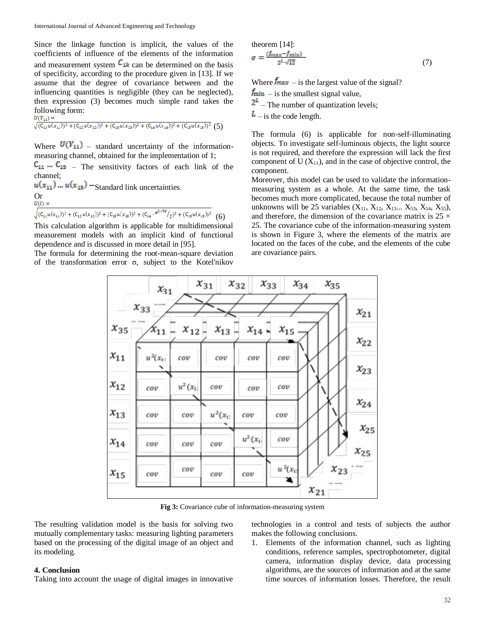Since the linkage function is implicit, the values of the coefficients of influence of the elements of the information and measurement system  $C_{1k}$  can be determined on the basis of specificity, according to the procedure given in [13]. If we assume that the degree of covariance between and the influencing quantities is negligible (they can be neglected), then expression (3) becomes much simple rand takes the following form:<br> $\frac{U(Y_{11})}{U(Y_{11})}$ 

 $\sqrt{(C_{11}u(x_{11}))^2+(C_{12}u(x_{12}))^2+(C_{13}u(x_{13}))^2+(C_{14}u(x_{14}))^2+(C_{15}u(x_{15}))^2}$  (5)

Where  $U(Y_{11})$  – standard uncertainty of the informationmeasuring channel, obtained for the implementation of 1;

 $C_{11} \cdots C_{15}$  – The sensitivity factors of each link of the channel;

 $u(x_{11})$  ...  $u(x_{15})$  – Standard link uncertainties. Or  $U(I) =$ 

$$
\sqrt{(C_{11}u(x_{11}))^2 + (C_{12}u(x_{12}))^2 + (C_{13}u(x_{13}))^2 + (C_{14} \cdot e^{2\sqrt{3}a}/2)^2 + (C_{15}u(x_{15}))^2}
$$
 (6)

This calculation algorithm is applicable for multidimensional measurement models with an implicit kind of functional dependence and is discussed in more detail in [95].

The formula for determining the root-mean-square deviation of the transformation error σ, subject to the Kotel'nikov

theorem [14]:  
\n
$$
\sigma = \frac{(f_{max} - f_{min})}{2^L \sqrt{12}}
$$
\n(7)

Where  $\frac{f_{max}}{g}$  – is the largest value of the signal?

 $f_{\text{min}}$  – is the smallest signal value,

 $2^L$  – The number of quantization levels;

 $\mathbf{L}$  – is the code length.

The formula (6) is applicable for non-self-illuminating objects. To investigate self-luminous objects, the light source is not required, and therefore the expression will lack the first component of  $U(X_{11})$ , and in the case of objective control, the component.

Moreover, this model can be used to validate the informationmeasuring system as a whole. At the same time, the task becomes much more complicated, because the total number of unknowns will be 25 variables  $(X_{11}, X_{12}, X_{13}... X_{53}, X_{54}, X_{55})$ , and therefore, the dimension of the covariance matrix is  $25 \times$ 25. The covariance cube of the information-measuring system is shown in Figure 3, where the elements of the matrix are located on the faces of the cube, and the elements of the cube are covariance pairs.



**Fig 3:** Covariance cube of information-measuring system

The resulting validation model is the basis for solving two mutually complementary tasks: measuring lighting parameters based on the processing of the digital image of an object and its modeling.

#### **4. Conclusion**

Taking into account the usage of digital images in innovative

technologies in a control and tests of subjects the author makes the following conclusions.

1. Elements of the information channel, such as lighting conditions, reference samples, spectrophotometer, digital camera, information display device, data processing algorithms, are the sources of information and at the same time sources of information losses. Therefore, the result